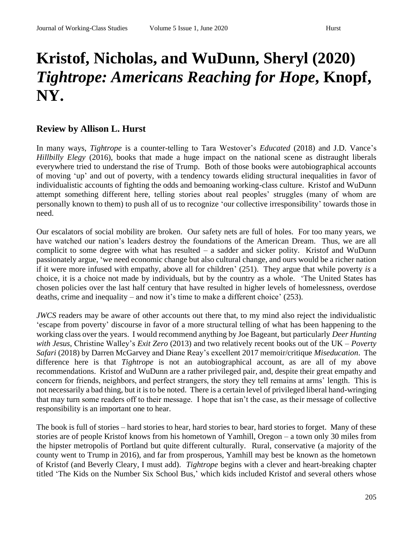## **Kristof, Nicholas, and WuDunn, Sheryl (2020)**  *Tightrope: Americans Reaching for Hope***, Knopf, NY.**

## **Review by Allison L. Hurst**

In many ways, *Tightrope* is a counter-telling to Tara Westover's *Educated* (2018) and J.D. Vance's *Hillbilly Elegy* (2016), books that made a huge impact on the national scene as distraught liberals everywhere tried to understand the rise of Trump. Both of those books were autobiographical accounts of moving 'up' and out of poverty, with a tendency towards eliding structural inequalities in favor of individualistic accounts of fighting the odds and bemoaning working-class culture. Kristof and WuDunn attempt something different here, telling stories about real peoples' struggles (many of whom are personally known to them) to push all of us to recognize 'our collective irresponsibility' towards those in need.

Our escalators of social mobility are broken. Our safety nets are full of holes. For too many years, we have watched our nation's leaders destroy the foundations of the American Dream. Thus, we are all complicit to some degree with what has resulted – a sadder and sicker polity. Kristof and WuDunn passionately argue, 'we need economic change but also cultural change, and ours would be a richer nation if it were more infused with empathy, above all for children' (251). They argue that while poverty *is* a choice, it is a choice not made by individuals, but by the country as a whole. 'The United States has chosen policies over the last half century that have resulted in higher levels of homelessness, overdose deaths, crime and inequality – and now it's time to make a different choice' (253).

*JWCS* readers may be aware of other accounts out there that, to my mind also reject the individualistic 'escape from poverty' discourse in favor of a more structural telling of what has been happening to the working class over the years. I would recommend anything by Joe Bageant, but particularly *Deer Hunting with Jesus*, Christine Walley's *Exit Zero* (2013) and two relatively recent books out of the UK – *Poverty Safari* (2018) by Darren McGarvey and Diane Reay's excellent 2017 memoir/critique *Miseducation*. The difference here is that *Tightrope* is not an autobiographical account, as are all of my above recommendations. Kristof and WuDunn are a rather privileged pair, and, despite their great empathy and concern for friends, neighbors, and perfect strangers, the story they tell remains at arms' length. This is not necessarily a bad thing, but it is to be noted. There is a certain level of privileged liberal hand-wringing that may turn some readers off to their message. I hope that isn't the case, as their message of collective responsibility is an important one to hear.

The book is full of stories – hard stories to hear, hard stories to bear, hard stories to forget. Many of these stories are of people Kristof knows from his hometown of Yamhill, Oregon – a town only 30 miles from the hipster metropolis of Portland but quite different culturally. Rural, conservative (a majority of the county went to Trump in 2016), and far from prosperous, Yamhill may best be known as the hometown of Kristof (and Beverly Cleary, I must add). *Tightrope* begins with a clever and heart-breaking chapter titled 'The Kids on the Number Six School Bus,' which kids included Kristof and several others whose